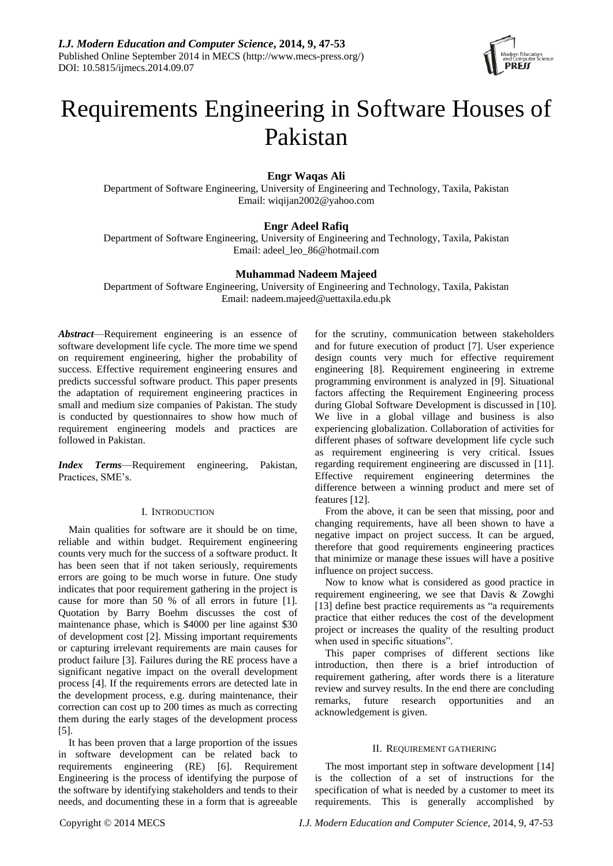

# Requirements Engineering in Software Houses of Pakistan

# **Engr Waqas Ali**

Department of Software Engineering, University of Engineering and Technology, Taxila, Pakistan Email: wiqijan2002@yahoo.com

# **Engr Adeel Rafiq**

Department of Software Engineering, University of Engineering and Technology, Taxila, Pakistan Email: adeel\_leo\_86@hotmail.com

# **Muhammad Nadeem Majeed**

Department of Software Engineering, University of Engineering and Technology, Taxila, Pakistan Email: nadeem.majeed@uettaxila.edu.pk

*Abstract*—Requirement engineering is an essence of software development life cycle. The more time we spend on requirement engineering, higher the probability of success. Effective requirement engineering ensures and predicts successful software product. This paper presents the adaptation of requirement engineering practices in small and medium size companies of Pakistan. The study is conducted by questionnaires to show how much of requirement engineering models and practices are followed in Pakistan.

*Index Terms*—Requirement engineering, Pakistan, Practices, SME's.

# I. INTRODUCTION

Main qualities for software are it should be on time, reliable and within budget. Requirement engineering counts very much for the success of a software product. It has been seen that if not taken seriously, requirements errors are going to be much worse in future. One study indicates that poor requirement gathering in the project is cause for more than 50 % of all errors in future [1]. Quotation by Barry Boehm discusses the cost of maintenance phase, which is \$4000 per line against \$30 of development cost [2]. Missing important requirements or capturing irrelevant requirements are main causes for product failure [3]. Failures during the RE process have a significant negative impact on the overall development process [4]. If the requirements errors are detected late in the development process, e.g. during maintenance, their correction can cost up to 200 times as much as correcting them during the early stages of the development process [5].

It has been proven that a large proportion of the issues in software development can be related back to requirements engineering (RE) [6]. Requirement Engineering is the process of identifying the purpose of the software by identifying stakeholders and tends to their needs, and documenting these in a form that is agreeable

for the scrutiny, communication between stakeholders and for future execution of product [7]. User experience design counts very much for effective requirement engineering [8]. Requirement engineering in extreme programming environment is analyzed in [9]. Situational factors affecting the Requirement Engineering process during Global Software Development is discussed in [10]. We live in a global village and business is also experiencing globalization. Collaboration of activities for different phases of software development life cycle such as requirement engineering is very critical. Issues regarding requirement engineering are discussed in [11]. Effective requirement engineering determines the difference between a winning product and mere set of features [12].

From the above, it can be seen that missing, poor and changing requirements, have all been shown to have a negative impact on project success. It can be argued, therefore that good requirements engineering practices that minimize or manage these issues will have a positive influence on project success.

Now to know what is considered as good practice in requirement engineering, we see that Davis & Zowghi [13] define best practice requirements as "a requirements" practice that either reduces the cost of the development project or increases the quality of the resulting product when used in specific situations".

This paper comprises of different sections like introduction, then there is a brief introduction of requirement gathering, after words there is a literature review and survey results. In the end there are concluding remarks, future research opportunities and an acknowledgement is given.

## II. REQUIREMENT GATHERING

The most important step in software development [14] is the collection of a set of instructions for the specification of what is needed by a customer to meet its requirements. This is generally accomplished by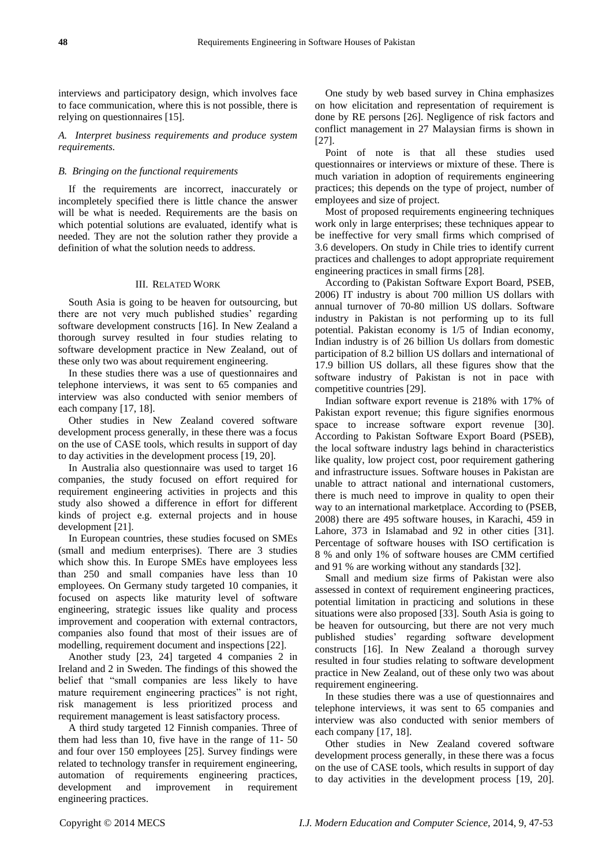interviews and participatory design, which involves face to face communication, where this is not possible, there is relying on questionnaires [15].

*A. Interpret business requirements and produce system requirements.*

#### *B. Bringing on the functional requirements*

If the requirements are incorrect, inaccurately or incompletely specified there is little chance the answer will be what is needed. Requirements are the basis on which potential solutions are evaluated, identify what is needed. They are not the solution rather they provide a definition of what the solution needs to address.

#### III. RELATED WORK

South Asia is going to be heaven for outsourcing, but there are not very much published studies' regarding software development constructs [16]. In New Zealand a thorough survey resulted in four studies relating to software development practice in New Zealand, out of these only two was about requirement engineering.

In these studies there was a use of questionnaires and telephone interviews, it was sent to 65 companies and interview was also conducted with senior members of each company [17, 18].

Other studies in New Zealand covered software development process generally, in these there was a focus on the use of CASE tools, which results in support of day to day activities in the development process [19, 20].

In Australia also questionnaire was used to target 16 companies, the study focused on effort required for requirement engineering activities in projects and this study also showed a difference in effort for different kinds of project e.g. external projects and in house development [21].

In European countries, these studies focused on SMEs (small and medium enterprises). There are 3 studies which show this. In Europe SMEs have employees less than 250 and small companies have less than 10 employees. On Germany study targeted 10 companies, it focused on aspects like maturity level of software engineering, strategic issues like quality and process improvement and cooperation with external contractors, companies also found that most of their issues are of modelling, requirement document and inspections [22].

Another study [23, 24] targeted 4 companies 2 in Ireland and 2 in Sweden. The findings of this showed the belief that "small companies are less likely to have mature requirement engineering practices" is not right, risk management is less prioritized process and requirement management is least satisfactory process.

A third study targeted 12 Finnish companies. Three of them had less than 10, five have in the range of 11- 50 and four over 150 employees [25]. Survey findings were related to technology transfer in requirement engineering, automation of requirements engineering practices, development and improvement in requirement engineering practices.

One study by web based survey in China emphasizes on how elicitation and representation of requirement is done by RE persons [26]. Negligence of risk factors and conflict management in 27 Malaysian firms is shown in [27].

Point of note is that all these studies used questionnaires or interviews or mixture of these. There is much variation in adoption of requirements engineering practices; this depends on the type of project, number of employees and size of project.

Most of proposed requirements engineering techniques work only in large enterprises; these techniques appear to be ineffective for very small firms which comprised of 3.6 developers. On study in Chile tries to identify current practices and challenges to adopt appropriate requirement engineering practices in small firms [28].

According to (Pakistan Software Export Board, PSEB, 2006) IT industry is about 700 million US dollars with annual turnover of 70-80 million US dollars. Software industry in Pakistan is not performing up to its full potential. Pakistan economy is 1/5 of Indian economy, Indian industry is of 26 billion Us dollars from domestic participation of 8.2 billion US dollars and international of 17.9 billion US dollars, all these figures show that the software industry of Pakistan is not in pace with competitive countries [29].

Indian software export revenue is 218% with 17% of Pakistan export revenue; this figure signifies enormous space to increase software export revenue [30]. According to Pakistan Software Export Board (PSEB), the local software industry lags behind in characteristics like quality, low project cost, poor requirement gathering and infrastructure issues. Software houses in Pakistan are unable to attract national and international customers, there is much need to improve in quality to open their way to an international marketplace. According to (PSEB, 2008) there are 495 software houses, in Karachi, 459 in Lahore, 373 in Islamabad and 92 in other cities [31]. Percentage of software houses with ISO certification is 8 % and only 1% of software houses are CMM certified and 91 % are working without any standards [32].

Small and medium size firms of Pakistan were also assessed in context of requirement engineering practices, potential limitation in practicing and solutions in these situations were also proposed [33]. South Asia is going to be heaven for outsourcing, but there are not very much published studies' regarding software development constructs [16]. In New Zealand a thorough survey resulted in four studies relating to software development practice in New Zealand, out of these only two was about requirement engineering.

In these studies there was a use of questionnaires and telephone interviews, it was sent to 65 companies and interview was also conducted with senior members of each company [17, 18].

Other studies in New Zealand covered software development process generally, in these there was a focus on the use of CASE tools, which results in support of day to day activities in the development process [19, 20].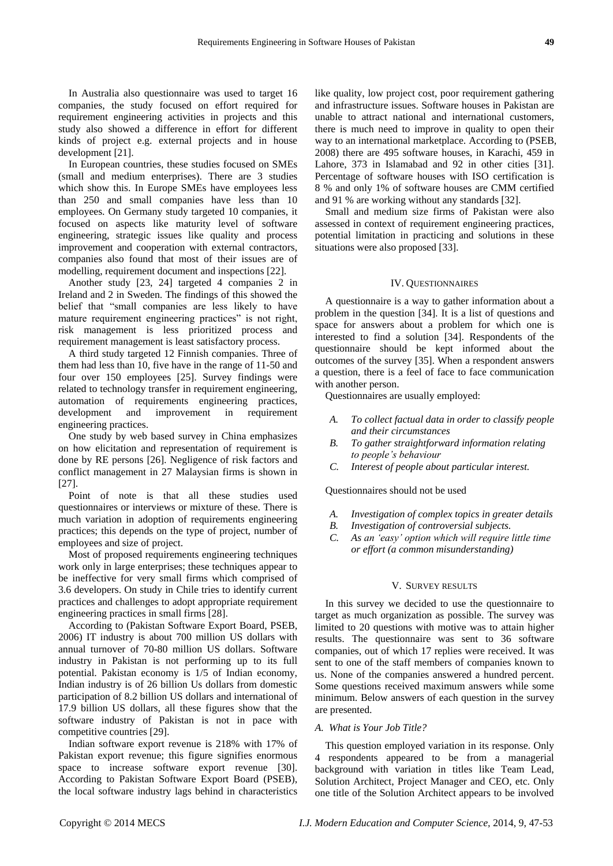In Australia also questionnaire was used to target 16 companies, the study focused on effort required for requirement engineering activities in projects and this study also showed a difference in effort for different kinds of project e.g. external projects and in house development [21].

In European countries, these studies focused on SMEs (small and medium enterprises). There are 3 studies which show this. In Europe SMEs have employees less than 250 and small companies have less than 10 employees. On Germany study targeted 10 companies, it focused on aspects like maturity level of software engineering, strategic issues like quality and process improvement and cooperation with external contractors, companies also found that most of their issues are of modelling, requirement document and inspections [22].

Another study [23, 24] targeted 4 companies 2 in Ireland and 2 in Sweden. The findings of this showed the belief that "small companies are less likely to have mature requirement engineering practices" is not right, risk management is less prioritized process and requirement management is least satisfactory process.

A third study targeted 12 Finnish companies. Three of them had less than 10, five have in the range of 11-50 and four over 150 employees [25]. Survey findings were related to technology transfer in requirement engineering, automation of requirements engineering practices, development and improvement in requirement engineering practices.

One study by web based survey in China emphasizes on how elicitation and representation of requirement is done by RE persons [26]. Negligence of risk factors and conflict management in 27 Malaysian firms is shown in [27].

Point of note is that all these studies used questionnaires or interviews or mixture of these. There is much variation in adoption of requirements engineering practices; this depends on the type of project, number of employees and size of project.

Most of proposed requirements engineering techniques work only in large enterprises; these techniques appear to be ineffective for very small firms which comprised of 3.6 developers. On study in Chile tries to identify current practices and challenges to adopt appropriate requirement engineering practices in small firms [28].

According to (Pakistan Software Export Board, PSEB, 2006) IT industry is about 700 million US dollars with annual turnover of 70-80 million US dollars. Software industry in Pakistan is not performing up to its full potential. Pakistan economy is 1/5 of Indian economy, Indian industry is of 26 billion Us dollars from domestic participation of 8.2 billion US dollars and international of 17.9 billion US dollars, all these figures show that the software industry of Pakistan is not in pace with competitive countries [29].

Indian software export revenue is 218% with 17% of Pakistan export revenue; this figure signifies enormous space to increase software export revenue [30]. According to Pakistan Software Export Board (PSEB), the local software industry lags behind in characteristics

like quality, low project cost, poor requirement gathering and infrastructure issues. Software houses in Pakistan are unable to attract national and international customers, there is much need to improve in quality to open their way to an international marketplace. According to (PSEB, 2008) there are 495 software houses, in Karachi, 459 in Lahore, 373 in Islamabad and 92 in other cities [31]. Percentage of software houses with ISO certification is 8 % and only 1% of software houses are CMM certified and 91 % are working without any standards [32].

Small and medium size firms of Pakistan were also assessed in context of requirement engineering practices, potential limitation in practicing and solutions in these situations were also proposed [33].

#### IV. QUESTIONNAIRES

A questionnaire is a way to gather information about a problem in the question [34]. It is a list of questions and space for answers about a problem for which one is interested to find a solution [34]. Respondents of the questionnaire should be kept informed about the outcomes of the survey [35]. When a respondent answers a question, there is a feel of face to face communication with another person.

Questionnaires are usually employed:

- *A. To collect factual data in order to classify people and their circumstances*
- *B. To gather straightforward information relating to people's behaviour*
- *C. Interest of people about particular interest.*

Questionnaires should not be used

- *A. Investigation of complex topics in greater details*
- *B. Investigation of controversial subjects.*
- *C. As an 'easy' option which will require little time or effort (a common misunderstanding)*

#### V. SURVEY RESULTS

In this survey we decided to use the questionnaire to target as much organization as possible. The survey was limited to 20 questions with motive was to attain higher results. The questionnaire was sent to 36 software companies, out of which 17 replies were received. It was sent to one of the staff members of companies known to us. None of the companies answered a hundred percent. Some questions received maximum answers while some minimum. Below answers of each question in the survey are presented.

#### *A. What is Your Job Title?*

This question employed variation in its response. Only 4 respondents appeared to be from a managerial background with variation in titles like Team Lead, Solution Architect, Project Manager and CEO, etc. Only one title of the Solution Architect appears to be involved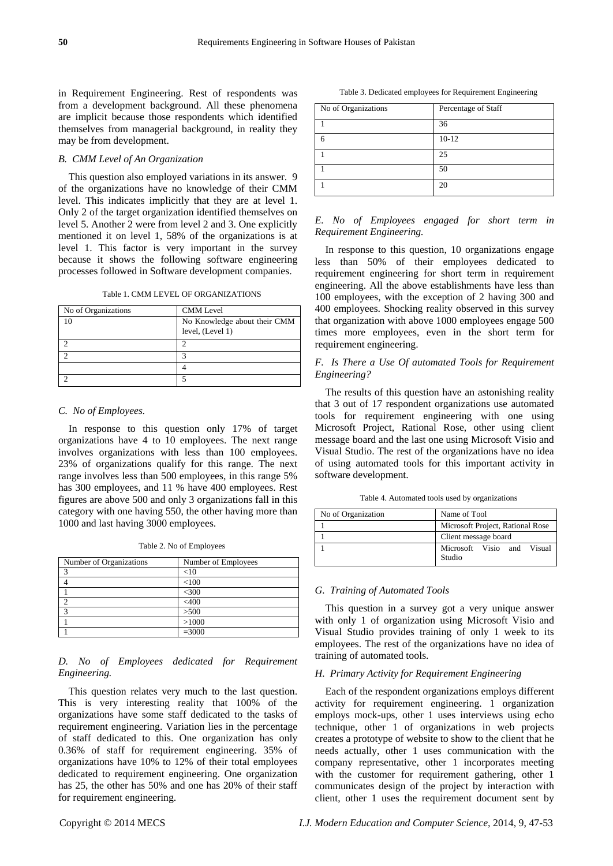in Requirement Engineering. Rest of respondents was from a development background. All these phenomena are implicit because those respondents which identified themselves from managerial background, in reality they may be from development.

#### *B. CMM Level of An Organization*

This question also employed variations in its answer. 9 of the organizations have no knowledge of their CMM level. This indicates implicitly that they are at level 1. Only 2 of the target organization identified themselves on level 5. Another 2 were from level 2 and 3. One explicitly mentioned it on level 1, 58% of the organizations is at level 1. This factor is very important in the survey because it shows the following software engineering processes followed in Software development companies.

| No of Organizations | <b>CMM</b> Level                                 |
|---------------------|--------------------------------------------------|
| 10                  | No Knowledge about their CMM<br>level, (Level 1) |
|                     |                                                  |
|                     | っ                                                |
|                     |                                                  |
|                     |                                                  |

Table 1. CMM LEVEL OF ORGANIZATIONS

# *C. No of Employees.*

In response to this question only 17% of target organizations have 4 to 10 employees. The next range involves organizations with less than 100 employees. 23% of organizations qualify for this range. The next range involves less than 500 employees, in this range 5% has 300 employees, and 11 % have 400 employees. Rest figures are above 500 and only 3 organizations fall in this category with one having 550, the other having more than 1000 and last having 3000 employees.

Table 2. No of Employees

| Number of Organizations | Number of Employees |
|-------------------------|---------------------|
| ◠                       | $<$ 10              |
|                         | < 100               |
|                         | $<$ 300             |
|                         | $<$ 400             |
| ◠                       | >500                |
|                         | >1000               |
|                         | $= 3000$            |

### *D. No of Employees dedicated for Requirement Engineering.*

This question relates very much to the last question. This is very interesting reality that 100% of the organizations have some staff dedicated to the tasks of requirement engineering. Variation lies in the percentage of staff dedicated to this. One organization has only 0.36% of staff for requirement engineering. 35% of organizations have 10% to 12% of their total employees dedicated to requirement engineering. One organization has 25, the other has 50% and one has 20% of their staff for requirement engineering.

Table 3. Dedicated employees for Requirement Engineering

| No of Organizations | Percentage of Staff |
|---------------------|---------------------|
|                     | 36                  |
|                     | $10 - 12$           |
|                     | 25                  |
|                     | 50                  |
|                     | 20                  |

# *E. No of Employees engaged for short term in Requirement Engineering.*

In response to this question, 10 organizations engage less than 50% of their employees dedicated to requirement engineering for short term in requirement engineering. All the above establishments have less than 100 employees, with the exception of 2 having 300 and 400 employees. Shocking reality observed in this survey that organization with above 1000 employees engage 500 times more employees, even in the short term for requirement engineering.

# *F. Is There a Use Of automated Tools for Requirement Engineering?*

The results of this question have an astonishing reality that 3 out of 17 respondent organizations use automated tools for requirement engineering with one using Microsoft Project, Rational Rose, other using client message board and the last one using Microsoft Visio and Visual Studio. The rest of the organizations have no idea of using automated tools for this important activity in software development.

Table 4. Automated tools used by organizations

| No of Organization | Name of Tool                         |
|--------------------|--------------------------------------|
|                    | Microsoft Project, Rational Rose     |
|                    | Client message board                 |
|                    | Microsoft Visio and Visual<br>Studio |

#### *G. Training of Automated Tools*

This question in a survey got a very unique answer with only 1 of organization using Microsoft Visio and Visual Studio provides training of only 1 week to its employees. The rest of the organizations have no idea of training of automated tools.

## *H. Primary Activity for Requirement Engineering*

Each of the respondent organizations employs different activity for requirement engineering. 1 organization employs mock-ups, other 1 uses interviews using echo technique, other 1 of organizations in web projects creates a prototype of website to show to the client that he needs actually, other 1 uses communication with the company representative, other 1 incorporates meeting with the customer for requirement gathering, other 1 communicates design of the project by interaction with client, other 1 uses the requirement document sent by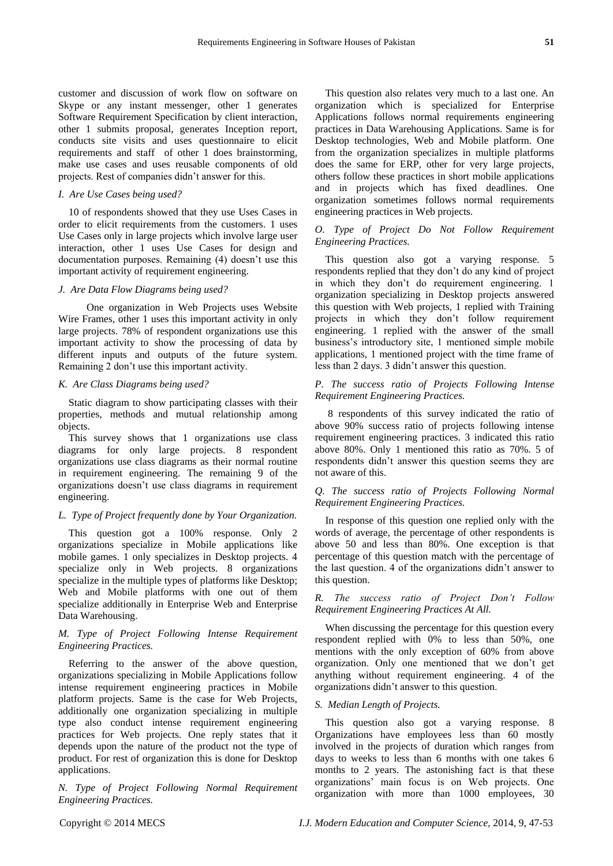customer and discussion of work flow on software on Skype or any instant messenger, other 1 generates Software Requirement Specification by client interaction, other 1 submits proposal, generates Inception report, conducts site visits and uses questionnaire to elicit requirements and staff of other 1 does brainstorming, make use cases and uses reusable components of old projects. Rest of companies didn't answer for this.

# *I. Are Use Cases being used?*

10 of respondents showed that they use Uses Cases in order to elicit requirements from the customers. 1 uses Use Cases only in large projects which involve large user interaction, other 1 uses Use Cases for design and documentation purposes. Remaining (4) doesn't use this important activity of requirement engineering.

### *J. Are Data Flow Diagrams being used?*

 One organization in Web Projects uses Website Wire Frames, other 1 uses this important activity in only large projects. 78% of respondent organizations use this important activity to show the processing of data by different inputs and outputs of the future system. Remaining 2 don't use this important activity.

#### *K. Are Class Diagrams being used?*

Static diagram to show participating classes with their properties, methods and mutual relationship among objects.

This survey shows that 1 organizations use class diagrams for only large projects. 8 respondent organizations use class diagrams as their normal routine in requirement engineering. The remaining 9 of the organizations doesn't use class diagrams in requirement engineering.

### *L. Type of Project frequently done by Your Organization.*

This question got a 100% response. Only 2 organizations specialize in Mobile applications like mobile games. 1 only specializes in Desktop projects. 4 specialize only in Web projects. 8 organizations specialize in the multiple types of platforms like Desktop; Web and Mobile platforms with one out of them specialize additionally in Enterprise Web and Enterprise Data Warehousing.

# *M. Type of Project Following Intense Requirement Engineering Practices.*

Referring to the answer of the above question, organizations specializing in Mobile Applications follow intense requirement engineering practices in Mobile platform projects. Same is the case for Web Projects, additionally one organization specializing in multiple type also conduct intense requirement engineering practices for Web projects. One reply states that it depends upon the nature of the product not the type of product. For rest of organization this is done for Desktop applications.

*N. Type of Project Following Normal Requirement Engineering Practices.*

This question also relates very much to a last one. An organization which is specialized for Enterprise Applications follows normal requirements engineering practices in Data Warehousing Applications. Same is for Desktop technologies, Web and Mobile platform. One from the organization specializes in multiple platforms does the same for ERP, other for very large projects, others follow these practices in short mobile applications and in projects which has fixed deadlines. One organization sometimes follows normal requirements engineering practices in Web projects.

# *O. Type of Project Do Not Follow Requirement Engineering Practices.*

This question also got a varying response. 5 respondents replied that they don't do any kind of project in which they don't do requirement engineering. 1 organization specializing in Desktop projects answered this question with Web projects, 1 replied with Training projects in which they don't follow requirement engineering. 1 replied with the answer of the small business's introductory site, 1 mentioned simple mobile applications, 1 mentioned project with the time frame of less than 2 days. 3 didn't answer this question.

# *P. The success ratio of Projects Following Intense Requirement Engineering Practices.*

8 respondents of this survey indicated the ratio of above 90% success ratio of projects following intense requirement engineering practices. 3 indicated this ratio above 80%. Only 1 mentioned this ratio as 70%. 5 of respondents didn't answer this question seems they are not aware of this.

# *Q. The success ratio of Projects Following Normal Requirement Engineering Practices.*

In response of this question one replied only with the words of average, the percentage of other respondents is above 50 and less than 80%. One exception is that percentage of this question match with the percentage of the last question. 4 of the organizations didn't answer to this question.

# *R. The success ratio of Project Don't Follow Requirement Engineering Practices At All.*

When discussing the percentage for this question every respondent replied with 0% to less than 50%, one mentions with the only exception of 60% from above organization. Only one mentioned that we don't get anything without requirement engineering. 4 of the organizations didn't answer to this question.

## *S. Median Length of Projects.*

This question also got a varying response. 8 Organizations have employees less than 60 mostly involved in the projects of duration which ranges from days to weeks to less than 6 months with one takes 6 months to 2 years. The astonishing fact is that these organizations' main focus is on Web projects. One organization with more than 1000 employees, 30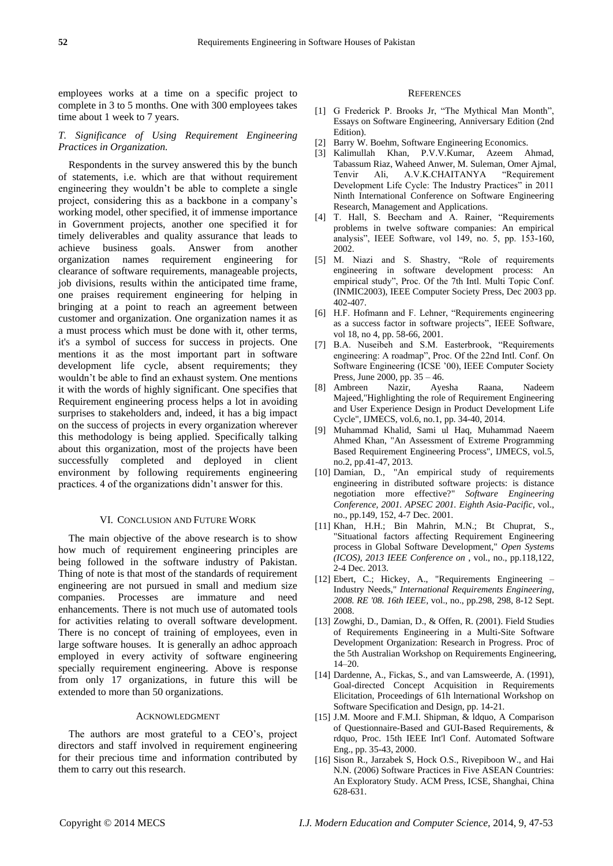employees works at a time on a specific project to complete in 3 to 5 months. One with 300 employees takes time about 1 week to 7 years.

# *T. Significance of Using Requirement Engineering Practices in Organization.*

Respondents in the survey answered this by the bunch of statements, i.e. which are that without requirement engineering they wouldn't be able to complete a single project, considering this as a backbone in a company's working model, other specified, it of immense importance in Government projects, another one specified it for timely deliverables and quality assurance that leads to achieve business goals. Answer from another organization names requirement engineering for clearance of software requirements, manageable projects, job divisions, results within the anticipated time frame, one praises requirement engineering for helping in bringing at a point to reach an agreement between customer and organization. One organization names it as a must process which must be done with it, other terms, it's a symbol of success for success in projects. One mentions it as the most important part in software development life cycle, absent requirements; they wouldn't be able to find an exhaust system. One mentions it with the words of highly significant. One specifies that Requirement engineering process helps a lot in avoiding surprises to stakeholders and, indeed, it has a big impact on the success of projects in every organization wherever this methodology is being applied. Specifically talking about this organization, most of the projects have been successfully completed and deployed in client environment by following requirements engineering practices. 4 of the organizations didn't answer for this.

#### VI. CONCLUSION AND FUTURE WORK

The main objective of the above research is to show how much of requirement engineering principles are being followed in the software industry of Pakistan. Thing of note is that most of the standards of requirement engineering are not pursued in small and medium size companies. Processes are immature and need enhancements. There is not much use of automated tools for activities relating to overall software development. There is no concept of training of employees, even in large software houses. It is generally an adhoc approach employed in every activity of software engineering specially requirement engineering. Above is response from only 17 organizations, in future this will be extended to more than 50 organizations.

#### ACKNOWLEDGMENT

The authors are most grateful to a CEO's, project directors and staff involved in requirement engineering for their precious time and information contributed by them to carry out this research.

#### **REFERENCES**

- [1] G Frederick P. Brooks Jr, "The Mythical Man Month", Essays on Software Engineering, Anniversary Edition (2nd Edition).
- [2] Barry W. Boehm, Software Engineering Economics.
- [3] Kalimullah Khan, P.V.V.Kumar, Azeem Ahmad, Tabassum Riaz, Waheed Anwer, M. Suleman, Omer Ajmal, Tenvir Ali, A.V.K.CHAITANYA 
"Requirement Development Life Cycle: The Industry Practices<sup>5</sup> in 2011 Ninth International Conference on Software Engineering Research, Management and Applications.
- [4] T. Hall, S. Beecham and A. Rainer, "Requirements problems in twelve software companies: An empirical analysis‖, IEEE Software, vol 149, no. 5, pp. 153-160, 2002.
- [5] M. Niazi and S. Shastry, "Role of requirements engineering in software development process: An empirical study", Proc. Of the 7th Intl. Multi Topic Conf. (INMIC2003), IEEE Computer Society Press, Dec 2003 pp. 402-407.
- [6] H.F. Hofmann and F. Lehner, "Requirements engineering as a success factor in software projects", IEEE Software, vol 18, no 4, pp. 58-66, 2001.
- [7] B.A. Nuseibeh and S.M. Easterbrook, "Requirements engineering: A roadmap", Proc. Of the 22nd Intl. Conf. On Software Engineering (ICSE '00), IEEE Computer Society Press, June 2000, pp. 35 – 46.<br>Ambreen Nazir, Ayesha
- [8] Ambreen Nazir, Ayesha Raana, Nadeem Majeed,"Highlighting the role of Requirement Engineering and User Experience Design in Product Development Life Cycle", IJMECS, vol.6, no.1, pp. 34-40, 2014.
- [9] Muhammad Khalid, Sami ul Haq, Muhammad Naeem Ahmed Khan, "An Assessment of Extreme Programming Based Requirement Engineering Process", IJMECS, vol.5, no.2, pp.41-47, 2013.
- [10] Damian, D., "An empirical study of requirements engineering in distributed software projects: is distance negotiation more effective?" *Software Engineering Conference, 2001. APSEC 2001. Eighth Asia-Pacific*, vol., no., pp.149, 152, 4-7 Dec. 2001.
- [11] Khan, H.H.; Bin Mahrin, M.N.; Bt Chuprat, S., "Situational factors affecting Requirement Engineering process in Global Software Development," *Open Systems (ICOS), 2013 IEEE Conference on* , vol., no., pp.118,122, 2-4 Dec. 2013.
- [12] Ebert, C.; Hickey, A., "Requirements Engineering Industry Needs," *International Requirements Engineering, 2008. RE '08. 16th IEEE*, vol., no., pp.298, 298, 8-12 Sept. 2008.
- [13] Zowghi, D., Damian, D., & Offen, R. (2001). Field Studies of Requirements Engineering in a Multi-Site Software Development Organization: Research in Progress. Proc of the 5th Australian Workshop on Requirements Engineering, 14–20.
- [14] Dardenne, A., Fickas, S., and van Lamsweerde, A. (1991), Goal-directed Concept Acquisition in Requirements Elicitation, Proceedings of 61h lnternational Workshop on Software Specification and Design, pp. 14-21.
- [15] J.M. Moore and F.M.I. Shipman, & Idquo, A Comparison of Questionnaire-Based and GUI-Based Requirements, & rdquo, Proc. 15th IEEE Int'l Conf. Automated Software Eng., pp. 35-43, 2000.
- [16] Sison R., Jarzabek S, Hock O.S., Rivepiboon W., and Hai N.N. (2006) Software Practices in Five ASEAN Countries: An Exploratory Study. ACM Press, ICSE, Shanghai, China 628-631.